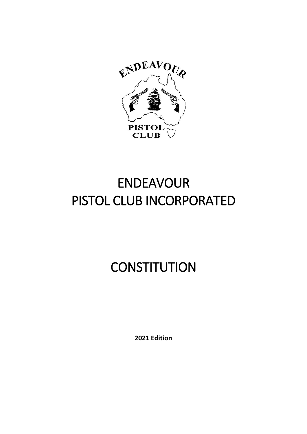

# ENDEAVOUR PISTOL CLUB INCORPORATED

# **CONSTITUTION**

**2021 Edition**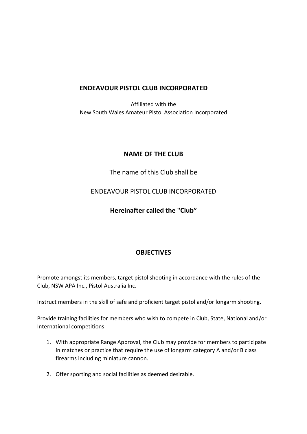#### **ENDEAVOUR PISTOL CLUB INCORPORATED**

Affiliated with the New South Wales Amateur Pistol Association Incorporated

#### **NAME OF THE CLUB**

#### The name of this Club shall be

#### ENDEAVOUR PISTOL CLUB INCORPORATED

#### **Hereinafter called the "Club"**

#### **OBJECTIVES**

Promote amongst its members, target pistol shooting in accordance with the rules of the Club, NSW APA Inc., Pistol Australia Inc.

Instruct members in the skill of safe and proficient target pistol and/or longarm shooting.

Provide training facilities for members who wish to compete in Club, State, National and/or International competitions.

- 1. With appropriate Range Approval, the Club may provide for members to participate in matches or practice that require the use of longarm category A and/or B class firearms including miniature cannon.
- 2. Offer sporting and social facilities as deemed desirable.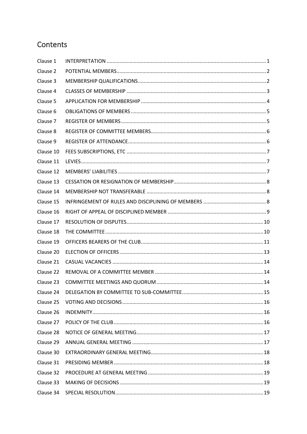# Contents

| Clause 1  |  |
|-----------|--|
| Clause 2  |  |
| Clause 3  |  |
| Clause 4  |  |
| Clause 5  |  |
| Clause 6  |  |
| Clause 7  |  |
| Clause 8  |  |
| Clause 9  |  |
| Clause 10 |  |
| Clause 11 |  |
| Clause 12 |  |
| Clause 13 |  |
| Clause 14 |  |
| Clause 15 |  |
| Clause 16 |  |
| Clause 17 |  |
| Clause 18 |  |
| Clause 19 |  |
| Clause 20 |  |
| Clause 21 |  |
| Clause 22 |  |
| Clause 23 |  |
| Clause 24 |  |
| Clause 25 |  |
| Clause 26 |  |
| Clause 27 |  |
| Clause 28 |  |
| Clause 29 |  |
| Clause 30 |  |
| Clause 31 |  |
| Clause 32 |  |
| Clause 33 |  |
| Clause 34 |  |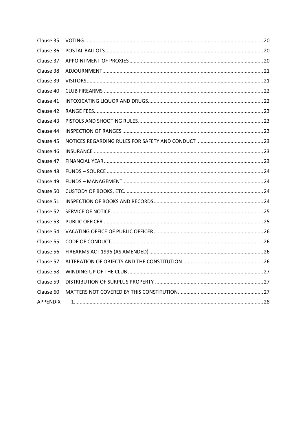| Clause 35       |  |
|-----------------|--|
| Clause 36       |  |
| Clause 37       |  |
| Clause 38       |  |
| Clause 39       |  |
| Clause 40       |  |
| Clause 41       |  |
| Clause 42       |  |
| Clause 43       |  |
| Clause 44       |  |
| Clause 45       |  |
| Clause 46       |  |
| Clause 47       |  |
| Clause 48       |  |
| Clause 49       |  |
| Clause 50       |  |
| Clause 51       |  |
| Clause 52       |  |
| Clause 53       |  |
| Clause 54       |  |
| Clause 55       |  |
| Clause 56       |  |
| Clause 57       |  |
| Clause 58       |  |
| Clause 59       |  |
| Clause 60       |  |
| <b>APPENDIX</b> |  |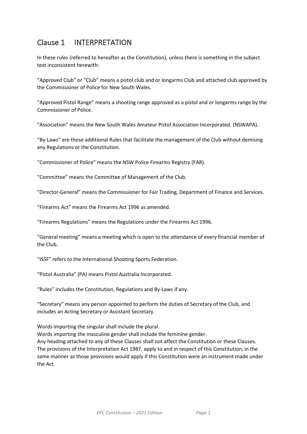# <span id="page-4-0"></span>Clause 1 INTERPRETATION

In these rules (referred to hereafter as the Constitution), unless there is something in the subject text inconsistent herewith:

"Approved Club" or "Club" means a pistol club and or longarms Club and attached club approved by the Commissioner of Police for New South Wales.

"Approved Pistol Range" means a shooting range approved as a pistol and or longarms range by the Commissioner of Police.

"Association" means the New South Wales Amateur Pistol Association Incorporated. (NSWAPA).

"By-Laws" are those additional Rules that facilitate the management of the Club without demising any Regulations or the Constitution.

"Commissioner of Police" means the NSW Police Firearms Registry (FAR).

"Committee" means the Committee of Management of the Club.

"Director-General" means the Commissioner for Fair Trading, Department of Finance and Services.

"Firearms Act" means the Firearms Act 1996 as amended.

"Firearms Regulations" means the Regulations under the Firearms Act 1996.

"General meeting" means a meeting which is open to the attendance of every financial member of the Club.

"ISSF" refers to the International Shooting Sports Federation.

"Pistol Australia" (PA) means Pistol Australia Incorporated.

"Rules" includes the Constitution, Regulations and By-Laws if any.

"Secretary" means any person appointed to perform the duties of Secretary of the Club, and includes an Acting Secretary or Assistant Secretary.

Words importing the singular shall include the plural.

Words importing the masculine gender shall include the feminine gender.

Any heading attached to any of these Clauses shall not affect the Constitution or these Clauses. The provisions of the Interpretation Act 1987, apply to and in respect of this Constitution, in the same manner as those provisions would apply if this Constitution were an instrument made under the Act.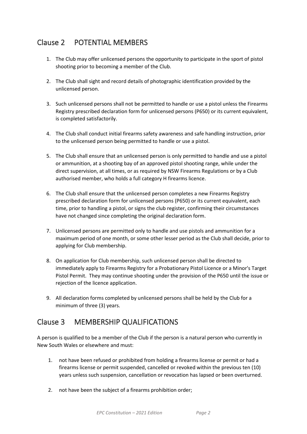# <span id="page-5-0"></span>Clause 2 POTENTIAL MEMBERS

- 1. The Club may offer unlicensed persons the opportunity to participate in the sport of pistol shooting prior to becoming a member of the Club.
- 2. The Club shall sight and record details of photographic identification provided by the unlicensed person.
- 3. Such unlicensed persons shall not be permitted to handle or use a pistol unless the Firearms Registry prescribed declaration form for unlicensed persons (P650) or its current equivalent, is completed satisfactorily.
- 4. The Club shall conduct initial firearms safety awareness and safe handling instruction, prior to the unlicensed person being permitted to handle or use a pistol.
- 5. The Club shall ensure that an unlicensed person is only permitted to handle and use a pistol or ammunition, at a shooting bay of an approved pistol shooting range, while under the direct supervision, at all times, or as required by NSW Firearms Regulations or by a Club authorised member, who holds a full category H firearms licence.
- 6. The Club shall ensure that the unlicensed person completes a new Firearms Registry prescribed declaration form for unlicensed persons (P650) or its current equivalent, each time, prior to handling a pistol, or signs the club register, confirming their circumstances have not changed since completing the original declaration form.
- 7. Unlicensed persons are permitted only to handle and use pistols and ammunition for a maximum period of one month, or some other lesser period as the Club shall decide, prior to applying for Club membership.
- 8. On application for Club membership, such unlicensed person shall be directed to immediately apply to Firearms Registry for a Probationary Pistol Licence or a Minor's Target Pistol Permit. They may continue shooting under the provision of the P650 until the issue or rejection of the licence application.
- 9. All declaration forms completed by unlicensed persons shall be held by the Club for a minimum of three (3) years.

# <span id="page-5-1"></span>Clause 3 MEMBERSHIP QUALIFICATIONS

A person is qualified to be a member of the Club if the person is a natural person who currently in New South Wales or elsewhere and must:

- 1. not have been refused or prohibited from holding a firearms license or permit or had a firearms license or permit suspended, cancelled or revoked within the previous ten (10) years unless such suspension, cancellation or revocation has lapsed or been overturned.
- 2. not have been the subject of a firearms prohibition order;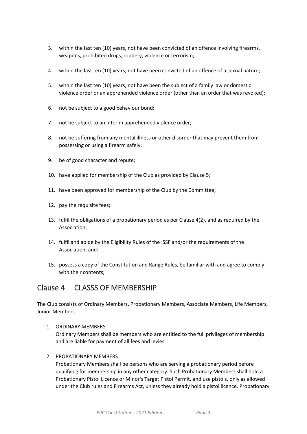- 3. within the last ten (10) years, not have been convicted of an offence involving firearms, weapons, prohibited drugs, robbery, violence or terrorism;
- 4. within the last ten (10) years, not have been convicted of an offence of a sexual nature;
- 5. within the last ten (10) years, not have been the subject of a family law or domestic violence order or an apprehended violence order (other than an order that was revoked);
- 6. not be subject to a good behaviour bond;
- 7. not be subject to an interim apprehended violence order;
- 8. not be suffering from any mental illness or other disorder that may prevent them from possessing or using a firearm safely;
- 9. be of good character and repute;
- 10. have applied for membership of the Club as provided by Clause 5;
- 11. have been approved for membership of the Club by the Committee;
- 12. pay the requisite fees;
- 13. fulfil the obligations of a probationary period as per Clause 4(2), and as required by the Association;
- 14. fulfil and abide by the Eligibility Rules of the ISSF and/or the requirements of the Association, and:-
- 15. possess a copy of the Constitution and Range Rules, be familiar with and agree to comply with their contents;

#### <span id="page-6-0"></span>Clause 4 CLASSS OF MEMBERSHIP

The Club consists of Ordinary Members, Probationary Members, Associate Members, Life Members, Junior Members.

1. ORDINARY MEMBERS

Ordinary Members shall be members who are entitled to the full privileges of membership and are liable for payment of all fees and levies.

2. PROBATIONARY MEMBERS

Probationary Members shall be persons who are serving a probationary period before qualifying for membership in any other category. Such Probationary Members shall hold a Probationary Pistol Licence or Minor's Target Pistol Permit, and use pistols, only as allowed under the Club rules and Firearms Act, unless they already hold a pistol licence. Probationary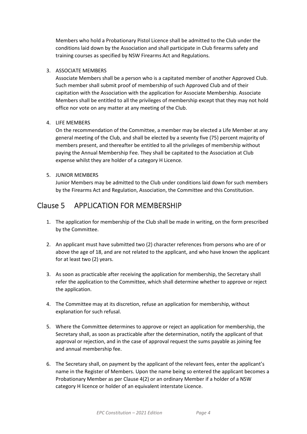Members who hold a Probationary Pistol Licence shall be admitted to the Club under the conditions laid down by the Association and shall participate in Club firearms safety and training courses as specified by NSW Firearms Act and Regulations.

#### 3. ASSOCIATE MEMBERS

Associate Members shall be a person who is a capitated member of another Approved Club. Such member shall submit proof of membership of such Approved Club and of their capitation with the Association with the application for Associate Membership. Associate Members shall be entitled to all the privileges of membership except that they may not hold office nor vote on any matter at any meeting of the Club.

#### 4. LIFE MEMBERS

On the recommendation of the Committee, a member may be elected a Life Member at any general meeting of the Club, and shall be elected by a seventy five (75) percent majority of members present, and thereafter be entitled to all the privileges of membership without paying the Annual Membership Fee. They shall be capitated to the Association at Club expense whilst they are holder of a category H Licence.

#### 5. JUNIOR MEMBERS

Junior Members may be admitted to the Club under conditions laid down for such members by the Firearms Act and Regulation, Association, the Committee and this Constitution.

## <span id="page-7-0"></span>Clause 5 APPLICATION FOR MEMBERSHIP

- 1. The application for membership of the Club shall be made in writing, on the form prescribed by the Committee.
- 2. An applicant must have submitted two (2) character references from persons who are of or above the age of 18, and are not related to the applicant, and who have known the applicant for at least two (2) years.
- 3. As soon as practicable after receiving the application for membership, the Secretary shall refer the application to the Committee, which shall determine whether to approve or reject the application.
- 4. The Committee may at its discretion, refuse an application for membership, without explanation for such refusal.
- 5. Where the Committee determines to approve or reject an application for membership, the Secretary shall, as soon as practicable after the determination, notify the applicant of that approval or rejection, and in the case of approval request the sums payable as joining fee and annual membership fee.
- 6. The Secretary shall, on payment by the applicant of the relevant fees, enter the applicant's name in the Register of Members. Upon the name being so entered the applicant becomes a Probationary Member as per Clause 4(2) or an ordinary Member if a holder of a NSW category H licence or holder of an equivalent interstate Licence.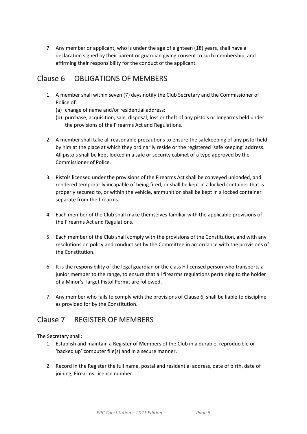7. Any member or applicant, who is under the age of eighteen (18) years, shall have a declaration signed by their parent or guardian giving consent to such membership, and affirming their responsibility for the conduct of the applicant.

## <span id="page-8-0"></span>Clause 6 OBLIGATIONS OF MEMBERS

- 1. A member shall within seven (7) days notify the Club Secretary and the Commissioner of Police of:
	- (a) change of name and/or residential address;
	- (b) purchase, acquisition, sale, disposal, loss or theft of any pistols or longarms held under the provisions of the Firearms Act and Regulations.
- 2. A member shall take all reasonable precautions to ensure the safekeeping of any pistol held by him at the place at which they ordinarily reside or the registered 'safe keeping' address. All pistols shall be kept locked in a safe or security cabinet of a type approved by the Commissioner of Police.
- 3. Pistols licensed under the provisions of the Firearms Act shall be conveyed unloaded, and rendered temporarily incapable of being fired, or shall be kept in a locked container that is properly secured to, or within the vehicle, ammunition shall be kept in a locked container separate from the firearms.
- 4. Each member of the Club shall make themselves familiar with the applicable provisions of the Firearms Act and Regulations.
- 5. Each member of the Club shall comply with the provisions of the Constitution, and with any resolutions on policy and conduct set by the Committee in accordance with the provisions of the Constitution.
- 6. It is the responsibility of the legal guardian or the class H licensed person who transports a junior member to the range, to ensure that all firearms regulations pertaining to the holder of a Minor's Target Pistol Permit are followed.
- <span id="page-8-1"></span>7. Any member who fails to comply with the provisions of Clause 6, shall be liable to discipline as provided for by the Constitution.

#### Clause 7 REGISTER OF MEMBERS

The Secretary shall:

- 1. Establish and maintain a Register of Members of the Club in a durable, reproducible or 'backed up' computer file(s) and in a secure manner.
- 2. Record in the Register the full name, postal and residential address, date of birth, date of joining, Firearms Licence number.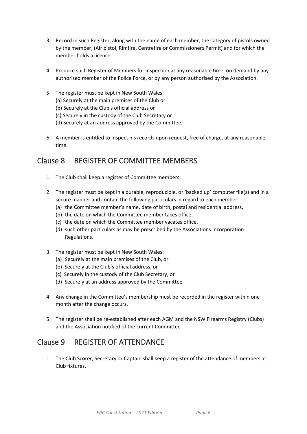- 3. Record in such Register, along with the name of each member, the category of pistols owned by the member, (Air pistol, Rimfire, Centrefire or Commissioners Permit) and for which the member holds a licence.
- 4. Produce such Register of Members for inspection at any reasonable time, on demand by any authorised member of the Police Force, or by any person authorised by the Association.
- 5. The register must be kept in New South Wales:
	- (a) Securely at the main premises of the Club or
	- (b) Securely at the Club's official address or
	- (c) Securely in the custody of the Club Secretary or
	- (d) Securely at an address approved by the Committee.
- 6. A member is entitled to inspect his records upon request, free of charge, at any reasonable time.

#### <span id="page-9-0"></span>Clause 8 REGISTER OF COMMITTEE MEMBERS

- 1. The Club shall keep a register of Committee members.
- 2. The register must be kept in a durable, reproducible, or 'backed up' computer file(s) and in a secure manner and contain the following particulars in regard to each member:
	- (a) the Committee member's name, date of birth, postal and residential address,
	- (b) the date on which the Committee member takes office,
	- (c) the date on which the Committee member vacates office,
	- (d) such other particulars as may be prescribed by the Associations Incorporation Regulations.
- 3. The register must be kept in New South Wales:
	- (a) Securely at the main premises of the Club, or
	- (b) Securely at the Club's official address, or
	- (c) Securely in the custody of the Club Secretary, or
	- (d) Securely at an address approved by the Committee.
- 4. Any change in the Committee's membership must be recorded in the register within one month after the change occurs.
- 5. The register shall be re-established after each AGM and the NSW Firearms Registry (Clubs) and the Association notified of the current Committee.

# <span id="page-9-1"></span>Clause 9 REGISTER OF ATTENDANCE

1. The Club Scorer, Secretary or Captain shall keep a register of the attendance of members at Club fixtures.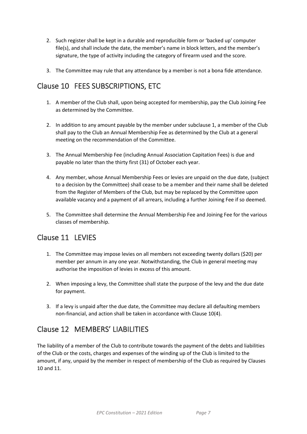- 2. Such register shall be kept in a durable and reproducible form or 'backed up' computer file(s), and shall include the date, the member's name in block letters, and the member's signature, the type of activity including the category of firearm used and the score.
- 3. The Committee may rule that any attendance by a member is not a bona fide attendance.

# <span id="page-10-0"></span>Clause 10 FEES SUBSCRIPTIONS, ETC

- 1. A member of the Club shall, upon being accepted for membership, pay the Club Joining Fee as determined by the Committee.
- 2. In addition to any amount payable by the member under subclause 1, a member of the Club shall pay to the Club an Annual Membership Fee as determined by the Club at a general meeting on the recommendation of the Committee.
- 3. The Annual Membership Fee (including Annual Association Capitation Fees) is due and payable no later than the thirty first (31) of October each year.
- 4. Any member, whose Annual Membership Fees or levies are unpaid on the due date, (subject to a decision by the Committee) shall cease to be a member and their name shall be deleted from the Register of Members of the Club, but may be replaced by the Committee upon available vacancy and a payment of all arrears, including a further Joining Fee if so deemed.
- 5. The Committee shall determine the Annual Membership Fee and Joining Fee for the various classes of membership.

# <span id="page-10-1"></span>Clause 11 LEVIES

- 1. The Committee may impose levies on all members not exceeding twenty dollars (\$20) per member per annum in any one year. Notwithstanding, the Club in general meeting may authorise the imposition of levies in excess of this amount.
- 2. When imposing a levy, the Committee shall state the purpose of the levy and the due date for payment.
- 3. If a levy is unpaid after the due date, the Committee may declare all defaulting members non-financial, and action shall be taken in accordance with Clause 10(4).

# <span id="page-10-2"></span>Clause 12 MEMBERS' LIABILITIES

The liability of a member of the Club to contribute towards the payment of the debts and liabilities of the Club or the costs, charges and expenses of the winding up of the Club is limited to the amount, if any, unpaid by the member in respect of membership of the Club as required by Clauses 10 and 11.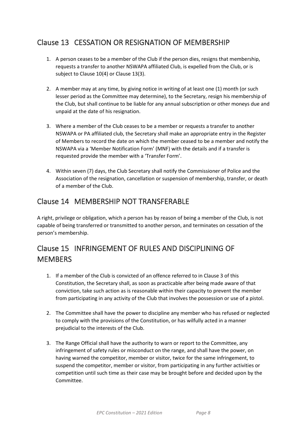# <span id="page-11-0"></span>Clause 13 CESSATION OR RESIGNATION OF MEMBERSHIP

- 1. A person ceases to be a member of the Club if the person dies, resigns that membership, requests a transfer to another NSWAPA affiliated Club, is expelled from the Club, or is subject to Clause 10(4) or Clause 13(3).
- 2. A member may at any time, by giving notice in writing of at least one (1) month (or such lesser period as the Committee may determine), to the Secretary, resign his membership of the Club, but shall continue to be liable for any annual subscription or other moneys due and unpaid at the date of his resignation.
- 3. Where a member of the Club ceases to be a member or requests a transfer to another NSWAPA or PA affiliated club, the Secretary shall make an appropriate entry in the Register of Members to record the date on which the member ceased to be a member and notify the NSWAPA via a 'Member Notification Form' (MNF) with the details and if a transfer is requested provide the member with a 'Transfer Form'.
- 4. Within seven (7) days, the Club Secretary shall notify the Commissioner of Police and the Association of the resignation, cancellation or suspension of membership, transfer, or death of a member of the Club.

# <span id="page-11-1"></span>Clause 14 MEMBERSHIP NOT TRANSFERABLE

A right, privilege or obligation, which a person has by reason of being a member of the Club, is not capable of being transferred or transmitted to another person, and terminates on cessation of the person's membership.

# <span id="page-11-2"></span>Clause 15 INFRINGEMENT OF RULES AND DISCIPLINING OF **MEMBERS**

- 1. If a member of the Club is convicted of an offence referred to in Clause 3 of this Constitution, the Secretary shall, as soon as practicable after being made aware of that conviction, take such action as is reasonable within their capacity to prevent the member from participating in any activity of the Club that involves the possession or use of a pistol.
- 2. The Committee shall have the power to discipline any member who has refused or neglected to comply with the provisions of the Constitution, or has wilfully acted in a manner prejudicial to the interests of the Club.
- 3. The Range Official shall have the authority to warn or report to the Committee, any infringement of safety rules or misconduct on the range, and shall have the power, on having warned the competitor, member or visitor, twice for the same infringement, to suspend the competitor, member or visitor, from participating in any further activities or competition until such time as their case may be brought before and decided upon by the Committee.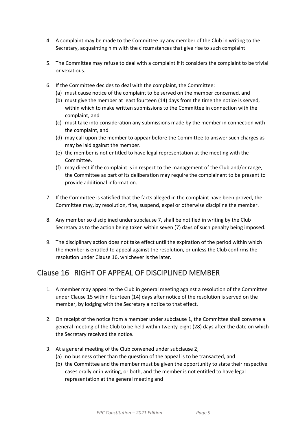- 4. A complaint may be made to the Committee by any member of the Club in writing to the Secretary, acquainting him with the circumstances that give rise to such complaint.
- 5. The Committee may refuse to deal with a complaint if it considers the complaint to be trivial or vexatious.
- 6. If the Committee decides to deal with the complaint, the Committee:
	- (a) must cause notice of the complaint to be served on the member concerned, and
	- (b) must give the member at least fourteen (14) days from the time the notice is served, within which to make written submissions to the Committee in connection with the complaint, and
	- (c) must take into consideration any submissions made by the member in connection with the complaint, and
	- (d) may call upon the member to appear before the Committee to answer such charges as may be laid against the member.
	- (e) the member is not entitled to have legal representation at the meeting with the Committee.
	- (f) may direct if the complaint is in respect to the management of the Club and/or range, the Committee as part of its deliberation may require the complainant to be present to provide additional information.
- 7. If the Committee is satisfied that the facts alleged in the complaint have been proved, the Committee may, by resolution, fine, suspend, expel or otherwise discipline the member.
- 8. Any member so disciplined under subclause 7, shall be notified in writing by the Club Secretary as to the action being taken within seven (7) days of such penalty being imposed.
- 9. The disciplinary action does not take effect until the expiration of the period within which the member is entitled to appeal against the resolution, or unless the Club confirms the resolution under Clause 16, whichever is the later.

#### <span id="page-12-0"></span>Clause 16 RIGHT OF APPEAL OF DISCIPLINED MEMBER

- 1. A member may appeal to the Club in general meeting against a resolution of the Committee under Clause 15 within fourteen (14) days after notice of the resolution is served on the member, by lodging with the Secretary a notice to that effect.
- 2. On receipt of the notice from a member under subclause 1, the Committee shall convene a general meeting of the Club to be held within twenty-eight (28) days after the date on which the Secretary received the notice.
- 3. At a general meeting of the Club convened under subclause 2,
	- (a) no business other than the question of the appeal is to be transacted, and
	- (b) the Committee and the member must be given the opportunity to state their respective cases orally or in writing, or both, and the member is not entitled to have legal representation at the general meeting and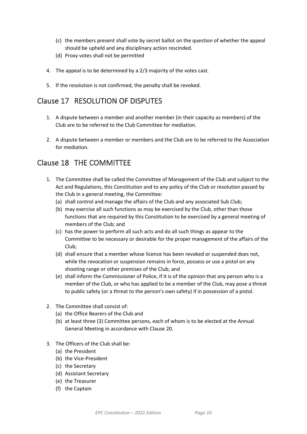- (c) the members present shall vote by secret ballot on the question of whether the appeal should be upheld and any disciplinary action rescinded.
- (d) Proxy votes shall not be permitted
- 4. The appeal is to be determined by a 2/3 majority of the votes cast.
- 5. If the resolution is not confirmed, the penalty shall be revoked.

#### <span id="page-13-0"></span>Clause 17 RESOLUTION OF DISPUTES

- 1. A dispute between a member and another member (in their capacity as members) of the Club are to be referred to the Club Committee for mediation.
- 2. A dispute between a member or members and the Club are to be referred to the Association for mediation.

#### <span id="page-13-1"></span>Clause 18 THE COMMITTEE

- 1. The Committee shall be called the Committee of Management of the Club and subject to the Act and Regulations, this Constitution and to any policy of the Club or resolution passed by the Club in a general meeting, the Committee:
	- (a) shall control and manage the affairs of the Club and any associated Sub Club;
	- (b) may exercise all such functions as may be exercised by the Club, other than those functions that are required by this Constitution to be exercised by a general meeting of members of the Club; and
	- (c) has the power to perform all such acts and do all such things as appear to the Committee to be necessary or desirable for the proper management of the affairs of the Club;
	- (d) shall ensure that a member whose licence has been revoked or suspended does not, while the revocation or suspension remains in force, possess or use a pistol on any shooting range or other premises of the Club; and
	- (e) shall inform the Commissioner of Police, if it is of the opinion that any person who is a member of the Club, or who has applied to be a member of the Club, may pose a threat to public safety (or a threat to the person's own safety) if in possession of a pistol.
- 2. The Committee shall consist of:
	- (a) the Office Bearers of the Club and
	- (b) at least three (3) Committee persons, each of whom is to be elected at the Annual General Meeting in accordance with Clause 20.
- 3. The Officers of the Club shall be:
	- (a) the President
	- (b) the Vice-President
	- (c) the Secretary
	- (d) Assistant Secretary
	- (e) the Treasurer
	- (f) the Captain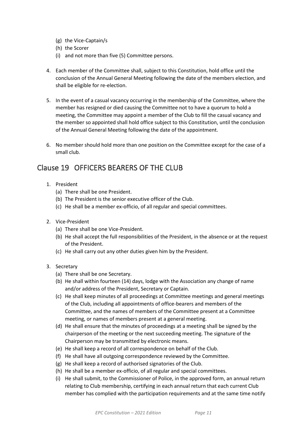- (g) the Vice-Captain/s
- (h) the Scorer
- (i) and not more than five (5) Committee persons.
- 4. Each member of the Committee shall, subject to this Constitution, hold office until the conclusion of the Annual General Meeting following the date of the members election, and shall be eligible for re-election.
- 5. In the event of a casual vacancy occurring in the membership of the Committee, where the member has resigned or died causing the Committee not to have a quorum to hold a meeting, the Committee may appoint a member of the Club to fill the casual vacancy and the member so appointed shall hold office subject to this Constitution, until the conclusion of the Annual General Meeting following the date of the appointment.
- 6. No member should hold more than one position on the Committee except for the case of a small club.

## <span id="page-14-0"></span>Clause 19 OFFICERS BEARERS OF THE CLUB

- 1. President
	- (a) There shall be one President.
	- (b) The President is the senior executive officer of the Club.
	- (c) He shall be a member ex-officio, of all regular and special committees.
- 2. Vice-President
	- (a) There shall be one Vice-President.
	- (b) He shall accept the full responsibilities of the President, in the absence or at the request of the President.
	- (c) He shall carry out any other duties given him by the President.
- 3. Secretary
	- (a) There shall be one Secretary.
	- (b) He shall within fourteen (14) days, lodge with the Association any change of name and/or address of the President, Secretary or Captain.
	- (c) He shall keep minutes of all proceedings at Committee meetings and general meetings of the Club, including all appointments of office-bearers and members of the Committee, and the names of members of the Committee present at a Committee meeting, or names of members present at a general meeting.
	- (d) He shall ensure that the minutes of proceedings at a meeting shall be signed by the chairperson of the meeting or the next succeeding meeting. The signature of the Chairperson may be transmitted by electronic means.
	- (e) He shall keep a record of all correspondence on behalf of the Club.
	- (f) He shall have all outgoing correspondence reviewed by the Committee.
	- (g) He shall keep a record of authorised signatories of the Club.
	- (h) He shall be a member ex-officio, of all regular and special committees.
	- (i) He shall submit, to the Commissioner of Police, in the approved form, an annual return relating to Club membership, certifying in each annual return that each current Club member has complied with the participation requirements and at the same time notify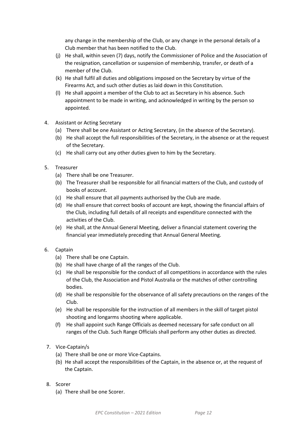any change in the membership of the Club, or any change in the personal details of a Club member that has been notified to the Club.

- (j) He shall, within seven (7) days, notify the Commissioner of Police and the Association of the resignation, cancellation or suspension of membership, transfer, or death of a member of the Club.
- (k) He shall fulfil all duties and obligations imposed on the Secretary by virtue of the Firearms Act, and such other duties as laid down in this Constitution.
- (l) He shall appoint a member of the Club to act as Secretary in his absence. Such appointment to be made in writing, and acknowledged in writing by the person so appointed.
- 4. Assistant or Acting Secretary
	- (a) There shall be one Assistant or Acting Secretary, (in the absence of the Secretary).
	- (b) He shall accept the full responsibilities of the Secretary, in the absence or at the request of the Secretary.
	- (c) He shall carry out any other duties given to him by the Secretary.
- 5. Treasurer
	- (a) There shall be one Treasurer.
	- (b) The Treasurer shall be responsible for all financial matters of the Club, and custody of books of account.
	- (c) He shall ensure that all payments authorised by the Club are made.
	- (d) He shall ensure that correct books of account are kept, showing the financial affairs of the Club, including full details of all receipts and expenditure connected with the activities of the Club.
	- (e) He shall, at the Annual General Meeting, deliver a financial statement covering the financial year immediately preceding that Annual General Meeting.
- 6. Captain
	- (a) There shall be one Captain.
	- (b) He shall have charge of all the ranges of the Club.
	- (c) He shall be responsible for the conduct of all competitions in accordance with the rules of the Club, the Association and Pistol Australia or the matches of other controlling bodies.
	- (d) He shall be responsible for the observance of all safety precautions on the ranges of the Club.
	- (e) He shall be responsible for the instruction of all members in the skill of target pistol shooting and longarms shooting where applicable.
	- (f) He shall appoint such Range Officials as deemed necessary for safe conduct on all ranges of the Club. Such Range Officials shall perform any other duties as directed.
- 7. Vice-Captain/s
	- (a) There shall be one or more Vice-Captains.
	- (b) He shall accept the responsibilities of the Captain, in the absence or, at the request of the Captain.
- 8. Scorer
	- (a) There shall be one Scorer.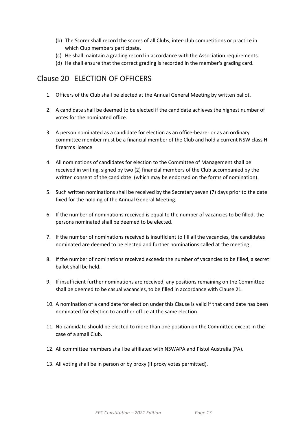- (b) The Scorer shall record the scores of all Clubs, inter-club competitions or practice in which Club members participate.
- (c) He shall maintain a grading record in accordance with the Association requirements.
- (d) He shall ensure that the correct grading is recorded in the member's grading card.

#### <span id="page-16-0"></span>Clause 20 ELECTION OF OFFICERS

- 1. Officers of the Club shall be elected at the Annual General Meeting by written ballot.
- 2. A candidate shall be deemed to be elected if the candidate achieves the highest number of votes for the nominated office.
- 3. A person nominated as a candidate for election as an office-bearer or as an ordinary committee member must be a financial member of the Club and hold a current NSW class H firearms licence
- 4. All nominations of candidates for election to the Committee of Management shall be received in writing, signed by two (2) financial members of the Club accompanied by the written consent of the candidate. (which may be endorsed on the forms of nomination).
- 5. Such written nominations shall be received by the Secretary seven (7) days prior to the date fixed for the holding of the Annual General Meeting.
- 6. If the number of nominations received is equal to the number of vacancies to be filled, the persons nominated shall be deemed to be elected.
- 7. If the number of nominations received is insufficient to fill all the vacancies, the candidates nominated are deemed to be elected and further nominations called at the meeting.
- 8. If the number of nominations received exceeds the number of vacancies to be filled, a secret ballot shall be held.
- 9. If insufficient further nominations are received, any positions remaining on the Committee shall be deemed to be casual vacancies, to be filled in accordance with Clause 21.
- 10. A nomination of a candidate for election under this Clause is valid if that candidate has been nominated for election to another office at the same election.
- 11. No candidate should be elected to more than one position on the Committee except in the case of a small Club.
- 12. All committee members shall be affiliated with NSWAPA and Pistol Australia (PA).
- 13. All voting shall be in person or by proxy (if proxy votes permitted).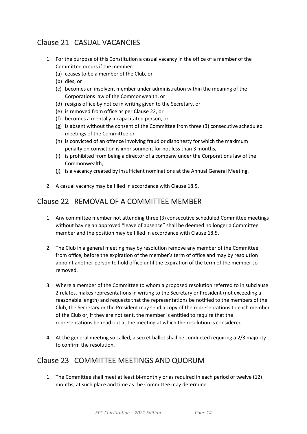# <span id="page-17-0"></span>Clause 21 CASUAL VACANCIES

- 1. For the purpose of this Constitution a casual vacancy in the office of a member of the Committee occurs if the member:
	- (a) ceases to be a member of the Club, or
	- (b) dies, or
	- (c) becomes an insolvent member under administration within the meaning of the Corporations law of the Commonwealth, or
	- (d) resigns office by notice in writing given to the Secretary, or
	- (e) is removed from office as per Clause 22, or
	- (f) becomes a mentally incapacitated person, or
	- (g) is absent without the consent of the Committee from three (3) consecutive scheduled meetings of the Committee or
	- (h) is convicted of an offence involving fraud or dishonesty for which the maximum penalty on conviction is imprisonment for not less than 3 months,
	- (i) is prohibited from being a director of a company under the Corporations law of the Commonwealth,
	- (j) is a vacancy created by insufficient nominations at the Annual General Meeting.
- 2. A casual vacancy may be filled in accordance with Clause 18.5.

#### <span id="page-17-1"></span>Clause 22 REMOVAL OF A COMMITTEE MEMBER

- 1. Any committee member not attending three (3) consecutive scheduled Committee meetings without having an approved "leave of absence" shall be deemed no longer a Committee member and the position may be filled in accordance with Clause 18.5.
- 2. The Club in a general meeting may by resolution remove any member of the Committee from office, before the expiration of the member's term of office and may by resolution appoint another person to hold office until the expiration of the term of the member so removed.
- 3. Where a member of the Committee to whom a proposed resolution referred to in subclause 2 relates, makes representations in writing to the Secretary or President (not exceeding a reasonable length) and requests that the representations be notified to the members of the Club, the Secretary or the President may send a copy of the representations to each member of the Club or, if they are not sent, the member is entitled to require that the representations be read out at the meeting at which the resolution is considered.
- 4. At the general meeting so called, a secret ballot shall be conducted requiring a 2/3 majority to confirm the resolution.

#### <span id="page-17-2"></span>Clause 23 COMMITTEE MEETINGS AND QUORUM

1. The Committee shall meet at least bi-monthly or as required in each period of twelve (12) months, at such place and time as the Committee may determine.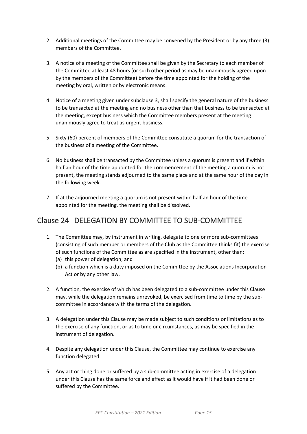- 2. Additional meetings of the Committee may be convened by the President or by any three (3) members of the Committee.
- 3. A notice of a meeting of the Committee shall be given by the Secretary to each member of the Committee at least 48 hours (or such other period as may be unanimously agreed upon by the members of the Committee) before the time appointed for the holding of the meeting by oral, written or by electronic means.
- 4. Notice of a meeting given under subclause 3, shall specify the general nature of the business to be transacted at the meeting and no business other than that business to be transacted at the meeting, except business which the Committee members present at the meeting unanimously agree to treat as urgent business.
- 5. Sixty (60) percent of members of the Committee constitute a quorum for the transaction of the business of a meeting of the Committee.
- 6. No business shall be transacted by the Committee unless a quorum is present and if within half an hour of the time appointed for the commencement of the meeting a quorum is not present, the meeting stands adjourned to the same place and at the same hour of the day in the following week.
- 7. If at the adjourned meeting a quorum is not present within half an hour of the time appointed for the meeting, the meeting shall be dissolved.

#### <span id="page-18-0"></span>Clause 24 DELEGATION BY COMMITTEE TO SUB-COMMITTEE

- 1. The Committee may, by instrument in writing, delegate to one or more sub-committees (consisting of such member or members of the Club as the Committee thinks fit) the exercise of such functions of the Committee as are specified in the instrument, other than:
	- (a) this power of delegation; and
	- (b) a function which is a duty imposed on the Committee by the Associations Incorporation Act or by any other law.
- 2. A function, the exercise of which has been delegated to a sub-committee under this Clause may, while the delegation remains unrevoked, be exercised from time to time by the subcommittee in accordance with the terms of the delegation.
- 3. A delegation under this Clause may be made subject to such conditions or limitations as to the exercise of any function, or as to time or circumstances, as may be specified in the instrument of delegation.
- 4. Despite any delegation under this Clause, the Committee may continue to exercise any function delegated.
- 5. Any act or thing done or suffered by a sub-committee acting in exercise of a delegation under this Clause has the same force and effect as it would have if it had been done or suffered by the Committee.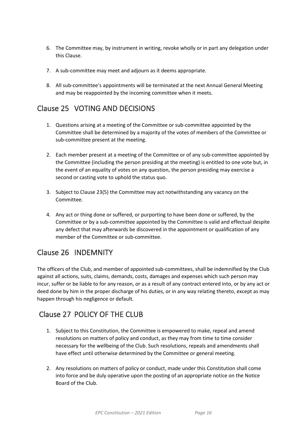- 6. The Committee may, by instrument in writing, revoke wholly or in part any delegation under this Clause.
- 7. A sub-committee may meet and adjourn as it deems appropriate.
- 8. All sub-committee's appointments will be terminated at the next Annual General Meeting and may be reappointed by the incoming committee when it meets.

# <span id="page-19-0"></span>Clause 25 VOTING AND DECISIONS

- 1. Questions arising at a meeting of the Committee or sub-committee appointed by the Committee shall be determined by a majority of the votes of members of the Committee or sub-committee present at the meeting.
- 2. Each member present at a meeting of the Committee or of any sub-committee appointed by the Committee (including the person presiding at the meeting) is entitled to one vote but, in the event of an equality of votes on any question, the person presiding may exercise a second or casting vote to uphold the status quo.
- 3. Subject to Clause 23(5) the Committee may act notwithstanding any vacancy on the Committee.
- 4. Any act or thing done or suffered, or purporting to have been done or suffered, by the Committee or by a sub-committee appointed by the Committee is valid and effectual despite any defect that may afterwards be discovered in the appointment or qualification of any member of the Committee or sub-committee.

# <span id="page-19-1"></span>Clause 26 INDEMNITY

The officers of the Club, and member of appointed sub-committees, shall be indemnified by the Club against all actions, suits, claims, demands, costs, damages and expenses which such person may incur, suffer or be liable to for any reason, or as a result of any contract entered into, or by any act or deed done by him in the proper discharge of his duties, or in any way relating thereto, except as may happen through his negligence or default.

# <span id="page-19-2"></span>Clause 27 POLICY OF THE CLUB

- 1. Subject to this Constitution, the Committee is empowered to make, repeal and amend resolutions on matters of policy and conduct, as they may from time to time consider necessary for the wellbeing of the Club. Such resolutions, repeals and amendments shall have effect until otherwise determined by the Committee or general meeting.
- 2. Any resolutions on matters of policy or conduct, made under this Constitution shall come into force and be duly operative upon the posting of an appropriate notice on the Notice Board of the Club.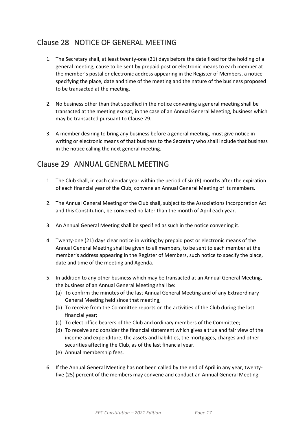# <span id="page-20-0"></span>Clause 28 NOTICE OF GENERAL MEETING

- 1. The Secretary shall, at least twenty-one (21) days before the date fixed for the holding of a general meeting, cause to be sent by prepaid post or electronic means to each member at the member's postal or electronic address appearing in the Register of Members, a notice specifying the place, date and time of the meeting and the nature of the business proposed to be transacted at the meeting.
- 2. No business other than that specified in the notice convening a general meeting shall be transacted at the meeting except, in the case of an Annual General Meeting, business which may be transacted pursuant to Clause 29.
- 3. A member desiring to bring any business before a general meeting, must give notice in writing or electronic means of that business to the Secretary who shall include that business in the notice calling the next general meeting.

#### <span id="page-20-1"></span>Clause 29 ANNUAL GENERAL MEETING

- 1. The Club shall, in each calendar year within the period of six (6) months after the expiration of each financial year of the Club, convene an Annual General Meeting of its members.
- 2. The Annual General Meeting of the Club shall, subject to the Associations Incorporation Act and this Constitution, be convened no later than the month of April each year.
- 3. An Annual General Meeting shall be specified as such in the notice convening it.
- 4. Twenty-one (21) days clear notice in writing by prepaid post or electronic means of the Annual General Meeting shall be given to all members, to be sent to each member at the member's address appearing in the Register of Members, such notice to specify the place, date and time of the meeting and Agenda.
- 5. In addition to any other business which may be transacted at an Annual General Meeting, the business of an Annual General Meeting shall be:
	- (a) To confirm the minutes of the last Annual General Meeting and of any Extraordinary General Meeting held since that meeting;
	- (b) To receive from the Committee reports on the activities of the Club during the last financial year;
	- (c) To elect office bearers of the Club and ordinary members of the Committee;
	- (d) To receive and consider the financial statement which gives a true and fair view of the income and expenditure, the assets and liabilities, the mortgages, charges and other securities affecting the Club, as of the last financial year.
	- (e) Annual membership fees.
- 6. If the Annual General Meeting has not been called by the end of April in any year, twentyfive (25) percent of the members may convene and conduct an Annual General Meeting.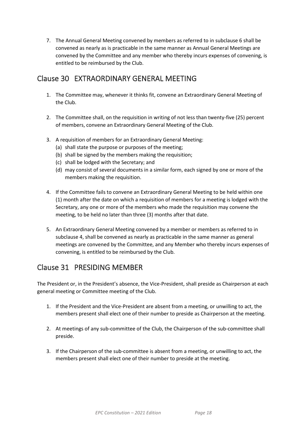7. The Annual General Meeting convened by members as referred to in subclause 6 shall be convened as nearly as is practicable in the same manner as Annual General Meetings are convened by the Committee and any member who thereby incurs expenses of convening, is entitled to be reimbursed by the Club.

## <span id="page-21-0"></span>Clause 30 EXTRAORDINARY GENERAL MEETING

- 1. The Committee may, whenever it thinks fit, convene an Extraordinary General Meeting of the Club.
- 2. The Committee shall, on the requisition in writing of not less than twenty-five (25) percent of members, convene an Extraordinary General Meeting of the Club.
- 3. A requisition of members for an Extraordinary General Meeting:
	- (a) shall state the purpose or purposes of the meeting;
	- (b) shall be signed by the members making the requisition;
	- (c) shall be lodged with the Secretary; and
	- (d) may consist of several documents in a similar form, each signed by one or more of the members making the requisition.
- 4. If the Committee fails to convene an Extraordinary General Meeting to be held within one (1) month after the date on which a requisition of members for a meeting is lodged with the Secretary, any one or more of the members who made the requisition may convene the meeting, to be held no later than three (3) months after that date.
- 5. An Extraordinary General Meeting convened by a member or members as referred to in subclause 4, shall be convened as nearly as practicable in the same manner as general meetings are convened by the Committee, and any Member who thereby incurs expenses of convening, is entitled to be reimbursed by the Club.

# <span id="page-21-1"></span>Clause 31 PRESIDING MEMBER

The President or, in the President's absence, the Vice-President, shall preside as Chairperson at each general meeting or Committee meeting of the Club.

- 1. If the President and the Vice-President are absent from a meeting, or unwilling to act, the members present shall elect one of their number to preside as Chairperson at the meeting.
- 2. At meetings of any sub-committee of the Club, the Chairperson of the sub-committee shall preside.
- 3. If the Chairperson of the sub-committee is absent from a meeting, or unwilling to act, the members present shall elect one of their number to preside at the meeting.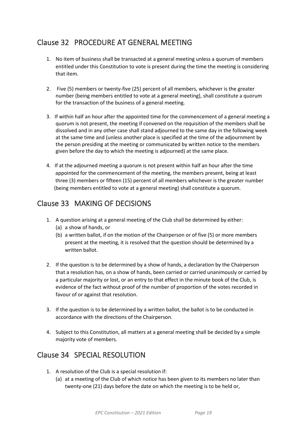# <span id="page-22-0"></span>Clause 32 PROCEDURE AT GENERAL MEETING

- 1. No item of business shall be transacted at a general meeting unless a quorum of members entitled under this Constitution to vote is present during the time the meeting is considering that item.
- 2. Five (5) members or twenty-five (25) percent of all members, whichever is the greater number (being members entitled to vote at a general meeting), shall constitute a quorum for the transaction of the business of a general meeting.
- 3. If within half an hour after the appointed time for the commencement of a general meeting a quorum is not present, the meeting if convened on the requisition of the members shall be dissolved and in any other case shall stand adjourned to the same day in the following week at the same time and (unless another place is specified at the time of the adjournment by the person presiding at the meeting or communicated by written notice to the members given before the day to which the meeting is adjourned) at the same place.
- 4. If at the adjourned meeting a quorum is not present within half an hour after the time appointed for the commencement of the meeting, the members present, being at least three (3) members or fifteen (15) percent of all members whichever is the greater number (being members entitled to vote at a general meeting) shall constitute a quorum.

## <span id="page-22-1"></span>Clause 33 MAKING OF DECISIONS

- 1. A question arising at a general meeting of the Club shall be determined by either:
	- (a) a show of hands, or
	- (b) a written ballot, if on the motion of the Chairperson or of five (5) or more members present at the meeting, it is resolved that the question should be determined by a written ballot.
- 2. If the question is to be determined by a show of hands, a declaration by the Chairperson that a resolution has, on a show of hands, been carried or carried unanimously or carried by a particular majority or lost, or an entry to that effect in the minute book of the Club, is evidence of the fact without proof of the number of proportion of the votes recorded in favour of or against that resolution.
- 3. If the question is to be determined by a written ballot, the ballot is to be conducted in accordance with the directions of the Chairperson.
- 4. Subject to this Constitution, all matters at a general meeting shall be decided by a simple majority vote of members.

# <span id="page-22-2"></span>Clause 34 SPECIAL RESOLUTION

- 1. A resolution of the Club is a special resolution if:
	- (a) at a meeting of the Club of which notice has been given to its members no later than twenty-one (21) days before the date on which the meeting is to be held or,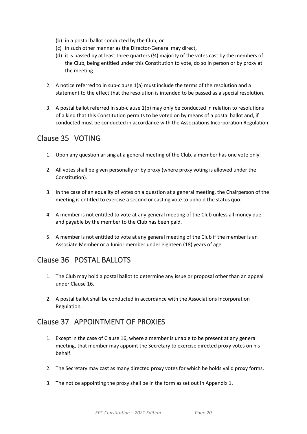- (b) in a postal ballot conducted by the Club, or
- (c) in such other manner as the Director-General may direct,
- (d) it is passed by at least three quarters  $(*)$  majority of the votes cast by the members of the Club, being entitled under this Constitution to vote, do so in person or by proxy at the meeting.
- 2. A notice referred to in sub-clause 1(a) must include the terms of the resolution and a statement to the effect that the resolution is intended to be passed as a special resolution.
- 3. A postal ballot referred in sub-clause 1(b) may only be conducted in relation to resolutions of a kind that this Constitution permits to be voted on by means of a postal ballot and, if conducted must be conducted in accordance with the Associations Incorporation Regulation.

# <span id="page-23-0"></span>Clause 35 VOTING

- 1. Upon any question arising at a general meeting of the Club, a member has one vote only.
- 2. All votes shall be given personally or by proxy (where proxy voting is allowed under the Constitution).
- 3. In the case of an equality of votes on a question at a general meeting, the Chairperson of the meeting is entitled to exercise a second or casting vote to uphold the status quo.
- 4. A member is not entitled to vote at any general meeting of the Club unless all money due and payable by the member to the Club has been paid.
- 5. A member is not entitled to vote at any general meeting of the Club if the member is an Associate Member or a Junior member under eighteen (18) years of age.

# <span id="page-23-1"></span>Clause 36 POSTAL BALLOTS

- 1. The Club may hold a postal ballot to determine any issue or proposal other than an appeal under Clause 16.
- 2. A postal ballot shall be conducted in accordance with the Associations Incorporation Regulation.

# <span id="page-23-2"></span>Clause 37 APPOINTMENT OF PROXIES

- 1. Except in the case of Clause 16, where a member is unable to be present at any general meeting, that member may appoint the Secretary to exercise directed proxy votes on his behalf.
- 2. The Secretary may cast as many directed proxy votes for which he holds valid proxy forms.
- 3. The notice appointing the proxy shall be in the form as set out in Appendix 1.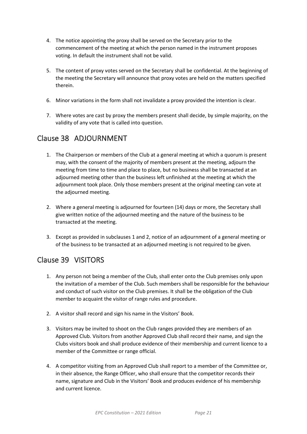- 4. The notice appointing the proxy shall be served on the Secretary prior to the commencement of the meeting at which the person named in the instrument proposes voting. In default the instrument shall not be valid.
- 5. The content of proxy votes served on the Secretary shall be confidential. At the beginning of the meeting the Secretary will announce that proxy votes are held on the matters specified therein.
- 6. Minor variations in the form shall not invalidate a proxy provided the intention is clear.
- 7. Where votes are cast by proxy the members present shall decide, by simple majority, on the validity of any vote that is called into question.

# <span id="page-24-0"></span>Clause 38 ADJOURNMENT

- 1. The Chairperson or members of the Club at a general meeting at which a quorum is present may, with the consent of the majority of members present at the meeting, adjourn the meeting from time to time and place to place, but no business shall be transacted at an adjourned meeting other than the business left unfinished at the meeting at which the adjournment took place. Only those members present at the original meeting can vote at the adjourned meeting.
- 2. Where a general meeting is adjourned for fourteen (14) days or more, the Secretary shall give written notice of the adjourned meeting and the nature of the business to be transacted at the meeting.
- 3. Except as provided in subclauses 1 and 2, notice of an adjournment of a general meeting or of the business to be transacted at an adjourned meeting is not required to be given.

# <span id="page-24-1"></span>Clause 39 VISITORS

- 1. Any person not being a member of the Club, shall enter onto the Club premises only upon the invitation of a member of the Club. Such members shall be responsible for the behaviour and conduct of such visitor on the Club premises. It shall be the obligation of the Club member to acquaint the visitor of range rules and procedure.
- 2. A visitor shall record and sign his name in the Visitors' Book.
- 3. Visitors may be invited to shoot on the Club ranges provided they are members of an Approved Club. Visitors from another Approved Club shall record their name, and sign the Clubs visitors book and shall produce evidence of their membership and current licence to a member of the Committee or range official.
- 4. A competitor visiting from an Approved Club shall report to a member of the Committee or, in their absence, the Range Officer, who shall ensure that the competitor records their name, signature and Club in the Visitors' Book and produces evidence of his membership and current licence.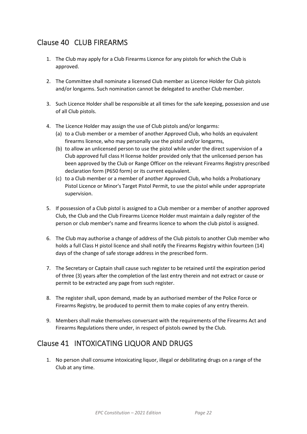# <span id="page-25-0"></span>Clause 40 CLUB FIREARMS

- 1. The Club may apply for a Club Firearms Licence for any pistols for which the Club is approved.
- 2. The Committee shall nominate a licensed Club member as Licence Holder for Club pistols and/or longarms. Such nomination cannot be delegated to another Club member.
- 3. Such Licence Holder shall be responsible at all times for the safe keeping, possession and use of all Club pistols.
- 4. The Licence Holder may assign the use of Club pistols and/or longarms:
	- (a) to a Club member or a member of another Approved Club, who holds an equivalent firearms licence, who may personally use the pistol and/or longarms,
	- (b) to allow an unlicensed person to use the pistol while under the direct supervision of a Club approved full class H license holder provided only that the unlicensed person has been approved by the Club or Range Officer on the relevant Firearms Registry prescribed declaration form (P650 form) or its current equivalent.
	- (c) to a Club member or a member of another Approved Club, who holds a Probationary Pistol Licence or Minor's Target Pistol Permit, to use the pistol while under appropriate supervision.
- 5. If possession of a Club pistol is assigned to a Club member or a member of another approved Club, the Club and the Club Firearms Licence Holder must maintain a daily register of the person or club member's name and firearms licence to whom the club pistol is assigned.
- 6. The Club may authorise a change of address of the Club pistols to another Club member who holds a full Class H pistol licence and shall notify the Firearms Registry within fourteen (14) days of the change of safe storage address in the prescribed form.
- 7. The Secretary or Captain shall cause such register to be retained until the expiration period of three (3) years after the completion of the last entry therein and not extract or cause or permit to be extracted any page from such register.
- 8. The register shall, upon demand, made by an authorised member of the Police Force or Firearms Registry, be produced to permit them to make copies of any entry therein.
- 9. Members shall make themselves conversant with the requirements of the Firearms Act and Firearms Regulations there under, in respect of pistols owned by the Club.

# <span id="page-25-1"></span>Clause 41 INTOXICATING LIQUOR AND DRUGS

1. No person shall consume intoxicating liquor, illegal or debilitating drugs on a range of the Club at any time.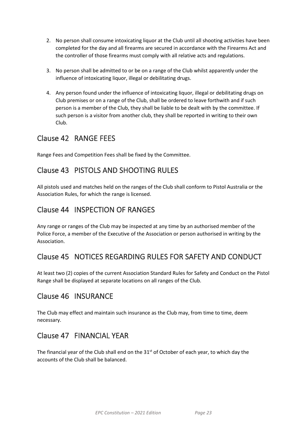- 2. No person shall consume intoxicating liquor at the Club until all shooting activities have been completed for the day and all firearms are secured in accordance with the Firearms Act and the controller of those firearms must comply with all relative acts and regulations.
- 3. No person shall be admitted to or be on a range of the Club whilst apparently under the influence of intoxicating liquor, illegal or debilitating drugs.
- 4. Any person found under the influence of intoxicating liquor, illegal or debilitating drugs on Club premises or on a range of the Club, shall be ordered to leave forthwith and if such person is a member of the Club, they shall be liable to be dealt with by the committee. If such person is a visitor from another club, they shall be reported in writing to their own Club.

# <span id="page-26-0"></span>Clause 42 RANGE FEES

Range Fees and Competition Fees shall be fixed by the Committee.

# <span id="page-26-1"></span>Clause 43 PISTOLS AND SHOOTING RULES

All pistols used and matches held on the ranges of the Club shall conform to Pistol Australia or the Association Rules, for which the range is licensed.

## <span id="page-26-2"></span>Clause 44 INSPECTION OF RANGES

Any range or ranges of the Club may be inspected at any time by an authorised member of the Police Force, a member of the Executive of the Association or person authorised in writing by the Association.

# <span id="page-26-3"></span>Clause 45 NOTICES REGARDING RULES FOR SAFETY AND CONDUCT

At least two (2) copies of the current Association Standard Rules for Safety and Conduct on the Pistol Range shall be displayed at separate locations on all ranges of the Club.

# <span id="page-26-4"></span>Clause 46 INSURANCE

The Club may effect and maintain such insurance as the Club may, from time to time, deem necessary.

#### <span id="page-26-5"></span>Clause 47 FINANCIAL YEAR

<span id="page-26-6"></span>The financial year of the Club shall end on the 31<sup>st</sup> of October of each year, to which day the accounts of the Club shall be balanced.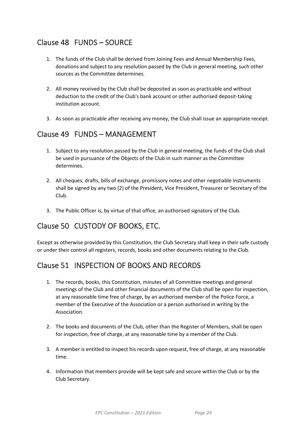# Clause 48 FUNDS – SOURCE

- 1. The funds of the Club shall be derived from Joining Fees and Annual Membership Fees, donations and subject to any resolution passed by the Club in general meeting, such other sources as the Committee determines.
- 2. All money received by the Club shall be deposited as soon as practicable and without deduction to the credit of the Club's bank account or other authorised deposit-taking institution account.
- 3. As soon as practicable after receiving any money, the Club shall issue an appropriate receipt.

#### <span id="page-27-0"></span>Clause 49 FUNDS – MANAGEMENT

- 1. Subject to any resolution passed by the Club in general meeting, the funds of the Club shall be used in pursuance of the Objects of the Club in such manner as the Committee determines.
- 2. All cheques, drafts, bills of exchange, promissory notes and other negotiable instruments shall be signed by any two (2) of the President, Vice President, Treasurer or Secretary of the Club.
- 3. The Public Officer is, by virtue of that office, an authorised signatory of the Club.

#### <span id="page-27-1"></span>Clause 50 CUSTODY OF BOOKS, ETC.

Except as otherwise provided by this Constitution, the Club Secretary shall keep in their safe custody or under their control all registers, records, books and other documents relating to the Club.

#### <span id="page-27-2"></span>Clause 51 INSPECTION OF BOOKS AND RECORDS

- 1. The records, books, this Constitution, minutes of all Committee meetings and general meetings of the Club and other financial documents of the Club shall be open for inspection, at any reasonable time free of charge, by an authorised member of the Police Force, a member of the Executive of the Association or a person authorised in writing by the Association.
- 2. The books and documents of the Club, other than the Register of Members, shall be open for inspection, free of charge, at any reasonable time by a member of the Club.
- 3. A member is entitled to inspect his records upon request, free of charge, at any reasonable time.
- 4. Information that members provide will be kept safe and secure within the Club or by the Club Secretary.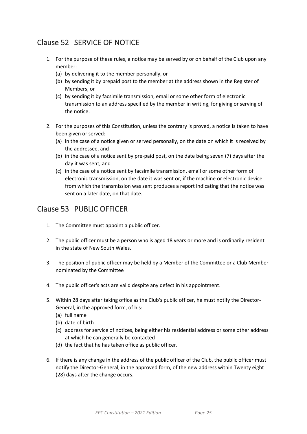# <span id="page-28-0"></span>Clause 52 SERVICE OF NOTICE

- 1. For the purpose of these rules, a notice may be served by or on behalf of the Club upon any member:
	- (a) by delivering it to the member personally, or
	- (b) by sending it by prepaid post to the member at the address shown in the Register of Members, or
	- (c) by sending it by facsimile transmission, email or some other form of electronic transmission to an address specified by the member in writing, for giving or serving of the notice.
- 2. For the purposes of this Constitution, unless the contrary is proved, a notice is taken to have been given or served:
	- (a) in the case of a notice given or served personally, on the date on which it is received by the addressee, and
	- (b) in the case of a notice sent by pre-paid post, on the date being seven (7) days after the day it was sent, and
	- (c) in the case of a notice sent by facsimile transmission, email or some other form of electronic transmission, on the date it was sent or, if the machine or electronic device from which the transmission was sent produces a report indicating that the notice was sent on a later date, on that date.

#### <span id="page-28-1"></span>Clause 53 PUBLIC OFFICER

- 1. The Committee must appoint a public officer.
- 2. The public officer must be a person who is aged 18 years or more and is ordinarily resident in the state of New South Wales.
- 3. The position of public officer may be held by a Member of the Committee or a Club Member nominated by the Committee
- 4. The public officer's acts are valid despite any defect in his appointment.
- 5. Within 28 days after taking office as the Club's public officer, he must notify the Director-General, in the approved form, of his:
	- (a) full name
	- (b) date of birth
	- (c) address for service of notices, being either his residential address or some other address at which he can generally be contacted
	- (d) the fact that he has taken office as public officer.
- 6. If there is any change in the address of the public officer of the Club, the public officer must notify the Director-General, in the approved form, of the new address within Twenty eight (28) days after the change occurs.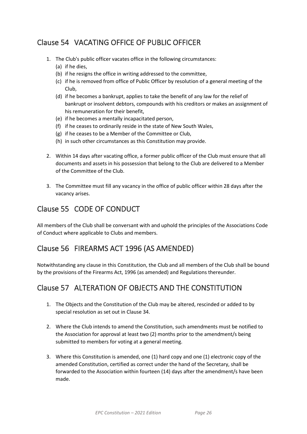# <span id="page-29-0"></span>Clause 54 VACATING OFFICE OF PUBLIC OFFICER

- 1. The Club's public officer vacates office in the following circumstances:
	- (a) if he dies,
	- (b) if he resigns the office in writing addressed to the committee,
	- (c) if he is removed from office of Public Officer by resolution of a general meeting of the Club,
	- (d) if he becomes a bankrupt, applies to take the benefit of any law for the relief of bankrupt or insolvent debtors, compounds with his creditors or makes an assignment of his remuneration for their benefit,
	- (e) if he becomes a mentally incapacitated person,
	- (f) if he ceases to ordinarily reside in the state of New South Wales,
	- (g) if he ceases to be a Member of the Committee or Club,
	- (h) in such other circumstances as this Constitution may provide.
- 2. Within 14 days after vacating office, a former public officer of the Club must ensure that all documents and assets in his possession that belong to the Club are delivered to a Member of the Committee of the Club.
- 3. The Committee must fill any vacancy in the office of public officer within 28 days after the vacancy arises.

## <span id="page-29-1"></span>Clause 55 CODE OF CONDUCT

All members of the Club shall be conversant with and uphold the principles of the Associations Code of Conduct where applicable to Clubs and members.

# <span id="page-29-2"></span>Clause 56 FIREARMS ACT 1996 (AS AMENDED)

Notwithstanding any clause in this Constitution, the Club and all members of the Club shall be bound by the provisions of the Firearms Act, 1996 (as amended) and Regulations thereunder.

# <span id="page-29-3"></span>Clause 57 ALTERATION OF OBJECTS AND THE CONSTITUTION

- 1. The Objects and the Constitution of the Club may be altered, rescinded or added to by special resolution as set out in Clause 34.
- 2. Where the Club intends to amend the Constitution, such amendments must be notified to the Association for approval at least two (2) months prior to the amendment/s being submitted to members for voting at a general meeting.
- 3. Where this Constitution is amended, one (1) hard copy and one (1) electronic copy of the amended Constitution, certified as correct under the hand of the Secretary, shall be forwarded to the Association within fourteen (14) days after the amendment/s have been made.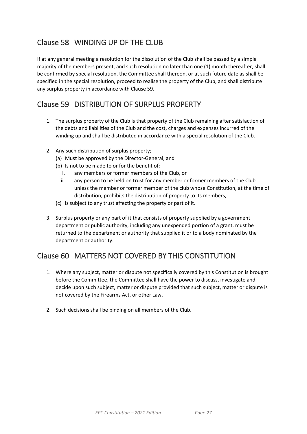# <span id="page-30-0"></span>Clause 58 WINDING UP OF THE CLUB

If at any general meeting a resolution for the dissolution of the Club shall be passed by a simple majority of the members present, and such resolution no later than one (1) month thereafter, shall be confirmed by special resolution, the Committee shall thereon, or at such future date as shall be specified in the special resolution, proceed to realise the property of the Club, and shall distribute any surplus property in accordance with Clause 59.

## <span id="page-30-1"></span>Clause 59 DISTRIBUTION OF SURPLUS PROPERTY

- 1. The surplus property of the Club is that property of the Club remaining after satisfaction of the debts and liabilities of the Club and the cost, charges and expenses incurred of the winding up and shall be distributed in accordance with a special resolution of the Club.
- 2. Any such distribution of surplus property;
	- (a) Must be approved by the Director-General, and
	- (b) Is not to be made to or for the benefit of:
		- i. any members or former members of the Club, or
		- ii. any person to be held on trust for any member or former members of the Club unless the member or former member of the club whose Constitution, at the time of distribution, prohibits the distribution of property to its members,
	- (c) is subject to any trust affecting the property or part of it.
- 3. Surplus property or any part of it that consists of property supplied by a government department or public authority, including any unexpended portion of a grant, must be returned to the department or authority that supplied it or to a body nominated by the department or authority.

# <span id="page-30-2"></span>Clause 60 MATTERS NOT COVERED BY THIS CONSTITUTION

- 1. Where any subject, matter or dispute not specifically covered by this Constitution is brought before the Committee, the Committee shall have the power to discuss, investigate and decide upon such subject, matter or dispute provided that such subject, matter or dispute is not covered by the Firearms Act, or other Law.
- 2. Such decisions shall be binding on all members of the Club.